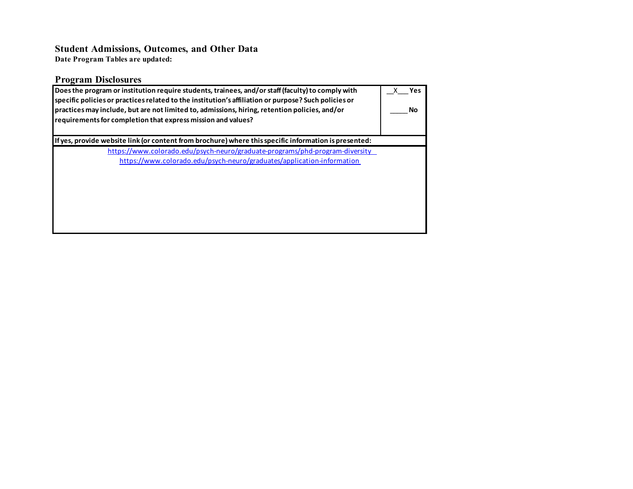# **Student Admissions, Outcomes, and Other Data**

**Date Program Tables are updated:**

| <b>Program Disclosures</b>                                                                                                                                                                                                                                                                                                                                                 |  |  |  |  |  |  |  |  |
|----------------------------------------------------------------------------------------------------------------------------------------------------------------------------------------------------------------------------------------------------------------------------------------------------------------------------------------------------------------------------|--|--|--|--|--|--|--|--|
| Does the program or institution require students, trainees, and/or staff (faculty) to comply with<br>specific policies or practices related to the institution's affiliation or purpose? Such policies or<br>practices may include, but are not limited to, admissions, hiring, retention policies, and/or<br>requirements for completion that express mission and values? |  |  |  |  |  |  |  |  |
| lf yes, provide website link (or content from brochure) where this specific information is presented:                                                                                                                                                                                                                                                                      |  |  |  |  |  |  |  |  |
| https://www.colorado.edu/psych-neuro/graduate-programs/phd-program-diversity<br>https://www.colorado.edu/psych-neuro/graduates/application-information                                                                                                                                                                                                                     |  |  |  |  |  |  |  |  |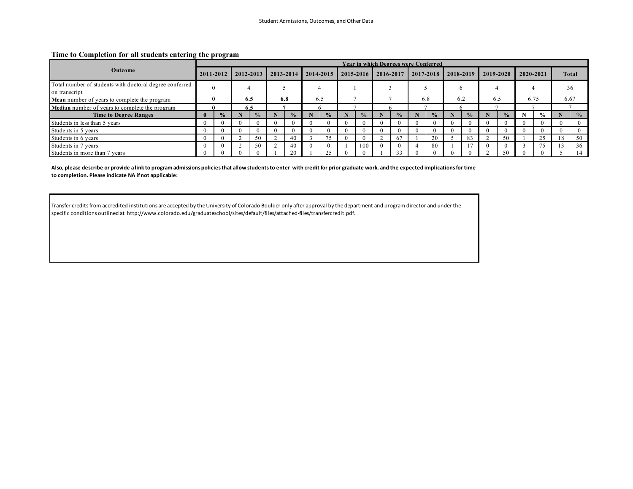#### **Time to Completion for all students entering the program**

|                                                                          |              |               |           |               |               |               |               |               |  |           |  |               | Year in which Degrees were Conferred |               |            |               |     |               |           |               |              |               |
|--------------------------------------------------------------------------|--------------|---------------|-----------|---------------|---------------|---------------|---------------|---------------|--|-----------|--|---------------|--------------------------------------|---------------|------------|---------------|-----|---------------|-----------|---------------|--------------|---------------|
| Outcome                                                                  | 2011-2012    |               | 2012-2013 |               | $2013 - 2014$ |               | $2014 - 2015$ |               |  | 2015-2016 |  | 2016-2017     |                                      | 2017-2018     |            | 2018-2019     |     | 2019-2020     | 2020-2021 |               | <b>Total</b> |               |
| Total number of students with doctoral degree conferred<br>on transcript |              |               |           |               |               |               |               |               |  |           |  |               |                                      |               |            |               |     |               |           |               | 36           |               |
| Mean number of years to complete the program                             |              |               | 6.5       |               | 6.8           |               |               | 6.5           |  |           |  |               |                                      | 6.8           |            | 6.2           | 6.5 |               | 6.75      |               | 6.67         |               |
| Median number of years to complete the program                           |              |               | 6.5       |               |               |               |               |               |  |           |  |               |                                      |               |            |               |     |               |           |               |              |               |
| <b>Time to Degree Ranges</b>                                             | $\mathbf{0}$ | $\frac{9}{6}$ |           | $\frac{6}{9}$ |               | $\frac{0}{2}$ |               | $\frac{0}{2}$ |  |           |  | $\frac{0}{2}$ |                                      | $\frac{0}{2}$ |            | $\frac{0}{0}$ |     | $\frac{0}{2}$ |           | $\frac{0}{0}$ |              | $\frac{0}{0}$ |
| Students in less than 5 years                                            | $\theta$     |               |           |               |               | 0             |               |               |  |           |  |               |                                      |               | $^{\circ}$ |               |     |               |           |               |              |               |
| Students in 5 years                                                      | $\Omega$     |               |           |               |               | $\Omega$      |               |               |  |           |  |               |                                      |               | 0          |               |     | $\Omega$      |           |               |              |               |
| Students in 6 years                                                      | $\theta$     |               |           | 50            |               | 40            |               | 75            |  |           |  | 67            |                                      | 20            |            | 83            |     | 50            |           | 25            | 8            | 50            |
| Students in 7 years                                                      | $\Omega$     |               |           | 50            |               | 40            |               |               |  | 100       |  |               |                                      | 80            |            |               |     |               |           | 75            |              | 36            |
| Students in more than 7 years                                            | $\Omega$     |               |           |               |               | 20            |               | $\gamma$      |  |           |  | 33            |                                      |               |            |               |     | 50            |           |               |              | 14            |

**Also, please describe or provide a link to program admissions policies that allow students to enter with credit for prior graduate work, and the expected implications for time to completion. Please indicate NA if not applicable:**

Transfer credits from accredited institutions are accepted by the University of Colorado Boulder only after approval by the department and program director and under the specific conditions outlined at http://www.colorado.edu/graduateschool/sites/default/files/attached-files/transfercredit.pdf.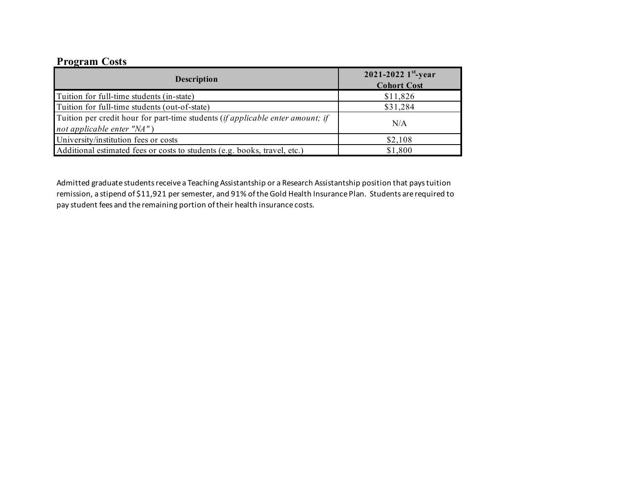### **Program Costs**

| <b>Description</b>                                                                                                      | 2021-2022 $1^{st}$ -year<br><b>Cohort Cost</b> |
|-------------------------------------------------------------------------------------------------------------------------|------------------------------------------------|
| Tuition for full-time students (in-state)                                                                               | \$11,826                                       |
| Tuition for full-time students (out-of-state)                                                                           | \$31,284                                       |
| Tuition per credit hour for part-time students <i>(if applicable enter amount; if</i><br>not applicable enter " $NA$ ") | N/A                                            |
| University/institution fees or costs                                                                                    | \$2,108                                        |
| Additional estimated fees or costs to students (e.g. books, travel, etc.)                                               | \$1,800                                        |

Admitted graduate students receive a Teaching Assistantship or a Research Assistantship position that pays tuition remission, a stipend of \$11,921 per semester, and 91% of the Gold Health Insurance Plan. Students are required to pay student fees and the remaining portion of their health insurance costs.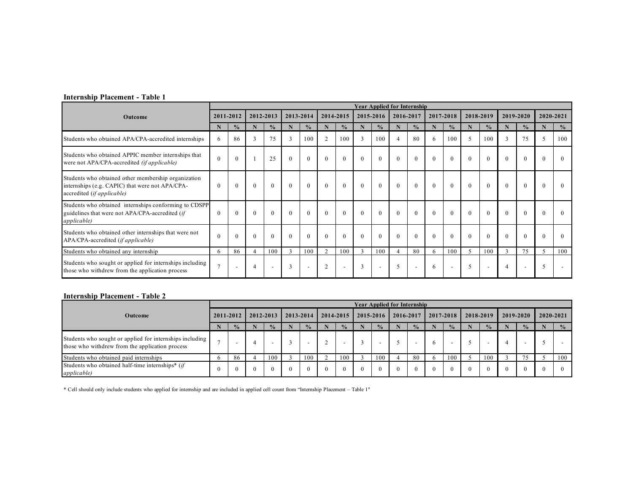#### **Internship Placement - Table 1**

|                                                                                                                                      |                |               |                          |               |                |                          |                |                          |              |                          | <b>Year Applied for Internship</b> |                          |              |                          |          |                          |                |                          |              |               |
|--------------------------------------------------------------------------------------------------------------------------------------|----------------|---------------|--------------------------|---------------|----------------|--------------------------|----------------|--------------------------|--------------|--------------------------|------------------------------------|--------------------------|--------------|--------------------------|----------|--------------------------|----------------|--------------------------|--------------|---------------|
| Outcome                                                                                                                              | 2011-2012      |               |                          | 2012-2013     |                | 2013-2014                |                | 2014-2015                |              | 2015-2016                |                                    | 2016-2017                |              | 2017-2018                |          | 2018-2019                |                | 2019-2020                |              | 2020-2021     |
|                                                                                                                                      | N              | $\frac{0}{0}$ | N                        | $\frac{0}{0}$ |                | $\frac{0}{0}$            |                | $\frac{0}{0}$            | N            | $\frac{0}{0}$            |                                    | $\frac{0}{0}$            |              | $\frac{0}{0}$            | N        | $\frac{0}{0}$            | N              | $\frac{0}{0}$            |              | $\frac{0}{0}$ |
| Students who obtained APA/CPA-accredited internships                                                                                 | 6              | 86            | 3                        | 75            | 3              | 100                      | $\overline{2}$ | 100                      | 3            | 100                      |                                    | 80                       | $\mathsf{f}$ | 100                      |          | 100                      | 3              | 75                       |              | 100           |
| Students who obtained APPIC member internships that<br>were not APA/CPA-accredited (if applicable)                                   | $\Omega$       |               |                          | 25            | $\theta$       | $\theta$                 | $\theta$       | $\theta$                 | $\theta$     | $\theta$                 | $\theta$                           | $\theta$                 | $\theta$     | $\theta$                 |          | $\theta$                 | $\Omega$       | $\theta$                 | $\Omega$     |               |
| Students who obtained other membership organization<br>internships (e.g. CAPIC) that were not APA/CPA-<br>accredited (if applicable) | $\theta$       | $\theta$      | $\theta$                 | $\theta$      | $\mathbf{0}$   | $\theta$                 | $\theta$       | $\mathbf{0}$             | $\mathbf{0}$ | $\mathbf{0}$             | $\mathbf{0}$                       | $\overline{0}$           | $\mathbf{0}$ | $\mathbf{0}$             | $\theta$ | $\theta$                 | $\mathbf{0}$   | $\mathbf{0}$             | $\mathbf{0}$ |               |
| Students who obtained internships conforming to CDSPP<br>guidelines that were not APA/CPA-accredited (if<br><i>applicable</i> )      | $\Omega$       |               | $\Omega$                 | $\Omega$      | $\Omega$       | $\Omega$                 | $\Omega$       | $\theta$                 | $\theta$     | $\Omega$                 |                                    | $\theta$                 | $\Omega$     | $\Omega$                 |          | $\Omega$                 |                | $\theta$                 |              |               |
| Students who obtained other internships that were not<br>APA/CPA-accredited (if applicable)                                          |                |               | $\theta$                 | $\theta$      | $\Omega$       | $\theta$                 | $\Omega$       | $\theta$                 | $\Omega$     | $\Omega$                 |                                    | $\theta$                 |              | $\theta$                 |          | $\Omega$                 | $\Omega$       | $\theta$                 |              |               |
| Students who obtained any internship                                                                                                 | 6              | 86            |                          | 100           | $\overline{a}$ | 100                      | $\mathcal{L}$  | 100                      | $\mathbf{3}$ | 100                      |                                    | 80                       | 6            | 100                      |          | 100                      | 3              | 75                       |              | 100           |
| Students who sought or applied for internships including<br>those who withdrew from the application process                          | $\overline{7}$ |               | $\overline{\mathcal{L}}$ |               | 3              | $\overline{\phantom{a}}$ | $\overline{2}$ | $\overline{\phantom{a}}$ | 3            | $\overline{\phantom{a}}$ | $\sim$                             | $\overline{\phantom{a}}$ | 6            | $\overline{\phantom{a}}$ | 5        | $\overline{\phantom{a}}$ | $\overline{A}$ | $\overline{\phantom{a}}$ | 5            |               |

#### **Internship Placement - Table 2**

|                                                                                                             |           |                      |           |               |           |                          |           |                          |           |               | <b>Year Applied for Internship</b> |               |           |                          |           |               |           |               |           |               |
|-------------------------------------------------------------------------------------------------------------|-----------|----------------------|-----------|---------------|-----------|--------------------------|-----------|--------------------------|-----------|---------------|------------------------------------|---------------|-----------|--------------------------|-----------|---------------|-----------|---------------|-----------|---------------|
| Outcome                                                                                                     | 2011-2012 |                      | 2012-2013 |               | 2013-2014 |                          | 2014-2015 |                          | 2015-2016 |               | 2016-2017                          |               | 2017-2018 |                          | 2018-2019 |               | 2019-2020 |               | 2020-2021 |               |
|                                                                                                             |           | $\sqrt{\phantom{0}}$ |           | $\frac{0}{2}$ |           | $\frac{0}{0}$            |           | $\frac{0}{2}$            |           | $\frac{1}{2}$ |                                    | $\frac{0}{0}$ |           | $\frac{0}{2}$            |           | $\frac{0}{0}$ |           | $\frac{0}{2}$ |           | $\frac{0}{2}$ |
| Students who sought or applied for internships including<br>those who withdrew from the application process |           |                      |           |               |           | $\overline{\phantom{0}}$ |           | $\overline{\phantom{a}}$ |           | -             |                                    |               |           | $\overline{\phantom{a}}$ |           | -             |           |               |           |               |
| Students who obtained paid internships                                                                      |           | 86                   |           | 100           |           | 100                      |           | 100                      |           | 100           |                                    | 80            |           | 100                      |           | 100           |           | 75            |           | 100           |
| Students who obtained half-time internships* (if<br><i>applicable</i> )                                     |           | 0                    | $\Omega$  |               | $\Omega$  | $\theta$                 | $\Omega$  | $\theta$                 | $\Omega$  |               | $^{\circ}$                         |               |           |                          |           |               | $\Omega$  |               | $\Omega$  |               |

\* Cell should only include students who applied for internship and are included in applied cell count from "Internship Placement – Table 1"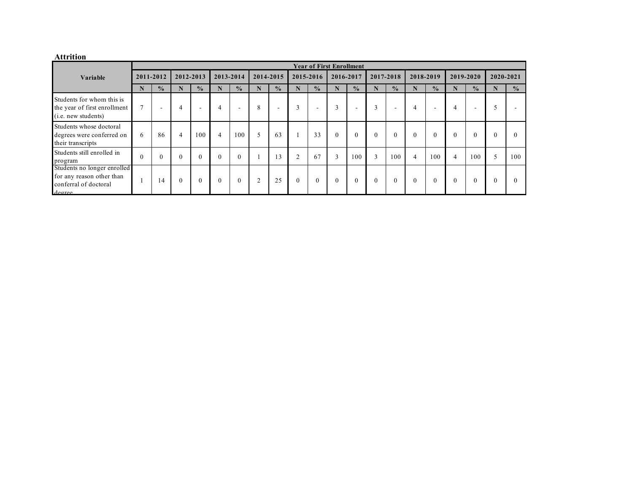#### **Attrition**

|                                                                                             |           |               |          |                          |           |                          |   |               |          |                          | <b>Year of First Enrollment</b> |                          |              |                          |          |                          |          |                          |   |               |
|---------------------------------------------------------------------------------------------|-----------|---------------|----------|--------------------------|-----------|--------------------------|---|---------------|----------|--------------------------|---------------------------------|--------------------------|--------------|--------------------------|----------|--------------------------|----------|--------------------------|---|---------------|
| Variable                                                                                    | 2011-2012 |               |          | 2012-2013                | 2013-2014 |                          |   | 2014-2015     |          | 2015-2016                |                                 | 2016-2017                |              | 2017-2018                |          | 2018-2019                |          | 2019-2020                |   | 2020-2021     |
|                                                                                             |           | $\frac{0}{0}$ |          | $\frac{0}{0}$            | N         | $\frac{0}{2}$            |   | $\frac{0}{0}$ |          | $\frac{0}{0}$            | N                               | $\frac{0}{0}$            | N            | $\frac{0}{2}$            | N        | $\frac{0}{2}$            | N        | $\frac{0}{2}$            |   | $\frac{0}{0}$ |
| Students for whom this is<br>the year of first enrollment<br>(i.e. new students)            |           | -             |          | $\overline{\phantom{a}}$ | 4         | $\overline{\phantom{a}}$ | 8 | -             | 3        | $\overline{\phantom{a}}$ | 3                               | $\overline{\phantom{0}}$ | 3            | $\overline{\phantom{0}}$ | 4        | $\overline{\phantom{a}}$ | 4        | $\overline{\phantom{a}}$ |   | . .           |
| Students whose doctoral<br>degrees were conferred on<br>their transcripts                   | 6         | 86            | 4        | 100                      | 4         | 100                      |   | 63            |          | 33                       | $\mathbf{0}$                    | $\mathbf{0}$             | $\mathbf{0}$ | $\theta$                 | $\theta$ | $\theta$                 |          | $\Omega$                 |   | $\Omega$      |
| Students still enrolled in<br>program                                                       |           | $\mathbf{0}$  | $\theta$ | $\theta$                 |           | $\theta$                 |   | 13            |          | 67                       | $\overline{3}$                  | 100                      | 3            | 100                      | 4        | 100                      | 4        | 100                      | 5 | 100           |
| Students no longer enrolled<br>for any reason other than<br>conferral of doctoral<br>degree |           | 14            | $\theta$ | $\Omega$                 | $\Omega$  | $\theta$                 | 2 | 25            | $\Omega$ | $\theta$                 | $\theta$                        | $\theta$                 | $\theta$     | $\theta$                 | $\theta$ | $\theta$                 | $\theta$ | $\Omega$                 |   | $\theta$      |